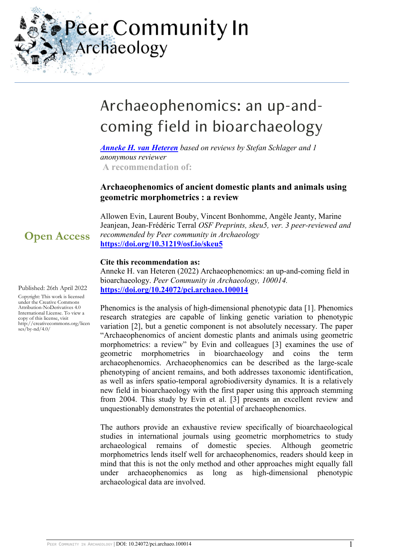Peer Community In Archaeology

# Archaeophenomics: an up-andcoming field in bioarchaeology

*[Anneke H. van Heteren](https://archaeo.peercommunityin.org/public/user_public_page?userId=774) based on reviews by Stefan Schlager and 1 anonymous reviewer*  **A recommendation of:**

## **Archaeophenomics of ancient domestic plants and animals using geometric morphometrics : a review**

Allowen Evin, Laurent Bouby, Vincent Bonhomme, Angèle Jeanty, Marine Jeanjean, Jean-Frédéric Terral *OSF Preprints, skeu5, ver. 3 peer-reviewed and recommended by Peer community in Archaeology* **<https://doi.org/10.31219/osf.io/skeu5>**

### **Cite this recommendation as:**

Anneke H. van Heteren (2022) Archaeophenomics: an up-and-coming field in bioarchaeology. *Peer Community in Archaeology, 100014.*  **<https://doi.org/10.24072/pci.archaeo.100014>**

Phenomics is the analysis of high-dimensional phenotypic data [1]. Phenomics research strategies are capable of linking genetic variation to phenotypic variation [2], but a genetic component is not absolutely necessary. The paper "Archaeophenomics of ancient domestic plants and animals using geometric morphometrics: a review" by Evin and colleagues [3] examines the use of geometric morphometrics in bioarchaeology and coins the term archaeophenomics. Archaeophenomics can be described as the large-scale phenotyping of ancient remains, and both addresses taxonomic identification, as well as infers spatio-temporal agrobiodiversity dynamics. It is a relatively new field in bioarchaeology with the first paper using this approach stemming from 2004. This study by Evin et al. [3] presents an excellent review and unquestionably demonstrates the potential of archaeophenomics.

The authors provide an exhaustive review specifically of bioarchaeological studies in international journals using geometric morphometrics to study archaeological remains of domestic species. Although geometric morphometrics lends itself well for archaeophenomics, readers should keep in mind that this is not the only method and other approaches might equally fall under archaeophenomics as long as high-dimensional phenotypic archaeological data are involved.

**Open Access**

Published: 26th April 2022

Copyright: This work is licensed under the Creative Commons Attribution-NoDerivatives 4.0 International License. To view a copy of this license, visit http://creativecommons.org/licen  $ses/bv-nd/4.0/$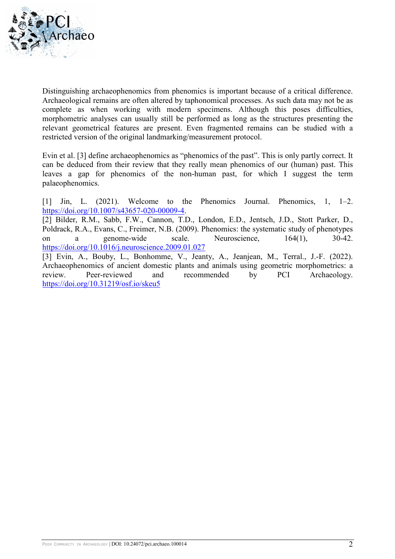

Distinguishing archaeophenomics from phenomics is important because of a critical difference. Archaeological remains are often altered by taphonomical processes. As such data may not be as complete as when working with modern specimens. Although this poses difficulties, morphometric analyses can usually still be performed as long as the structures presenting the relevant geometrical features are present. Even fragmented remains can be studied with a restricted version of the original landmarking/measurement protocol.

Evin et al. [3] define archaeophenomics as "phenomics of the past". This is only partly correct. It can be deduced from their review that they really mean phenomics of our (human) past. This leaves a gap for phenomics of the non-human past, for which I suggest the term palaeophenomics.

[1] Jin, L. (2021). Welcome to the Phenomics Journal. Phenomics, 1, 1–2. [https://doi.org/10.1007/s43657-020-00009-4.](https://doi.org/10.1007/s43657-020-00009-4)

[2] Bilder, R.M., Sabb, F.W., Cannon, T.D., London, E.D., Jentsch, J.D., Stott Parker, D., Poldrack, R.A., Evans, C., Freimer, N.B. (2009). Phenomics: the systematic study of phenotypes on a genome-wide scale. Neuroscience, 164(1), 30-42. <https://doi.org/10.1016/j.neuroscience.2009.01.027>

[3] Evin, A., Bouby, L., Bonhomme, V., Jeanty, A., Jeanjean, M., Terral., J.-F. (2022). Archaeophenomics of ancient domestic plants and animals using geometric morphometrics: a<br>review. Peer-reviewed and recommended by PCI Archaeology. review. Peer-reviewed and recommended by PCI Archaeology. <https://doi.org/10.31219/osf.io/skeu5>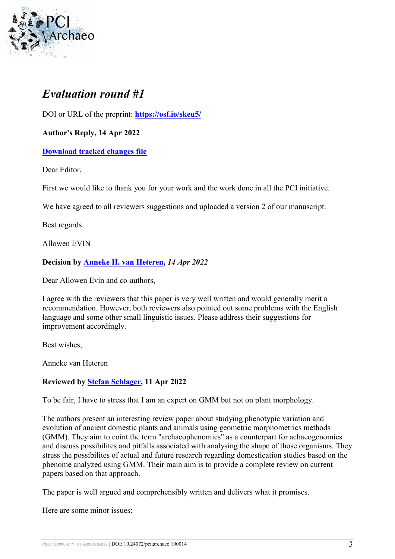

## *Evaluation round #1*

DOI or URL of the preprint: **<https://osf.io/skeu5/>**

**Author's Reply, 14 Apr 2022** 

**[Download tracked changes file](https://archaeo.peercommunityin.org/download/t_recommendations.track_change.821f9c178463f7c1.4172636861656f7068656e6f6d6963735f46696e616c5f7265766965772e706466.pdf)**

Dear Editor,

First we would like to thank you for your work and the work done in all the PCI initiative.

We have agreed to all reviewers suggestions and uploaded a version 2 of our manuscript.

Best regards

Allowen EVIN

## **Decision by [Anneke H. van Heteren,](https://archaeo.peercommunityin.org/public/user_public_page?userId=774)** *14 Apr 2022*

Dear Allowen Evin and co-authors,

I agree with the reviewers that this paper is very well written and would generally merit a recommendation. However, both reviewers also pointed out some problems with the English language and some other small linguistic issues. Please address their suggestions for improvement accordingly.

Best wishes,

Anneke van Heteren

## **Reviewed by [Stefan Schlager,](https://archaeo.peercommunityin.org/public/user_public_page?userId=698) 11 Apr 2022**

To be fair, I have to stress that I am an expert on GMM but not on plant morphology.

The authors present an interesting review paper about studying phenotypic variation and evolution of ancient domestic plants and animals using geometric morphometrics methods (GMM). They aim to coint the term "archaeophenomics" as a counterpart for achaeogenomics and discuss possibilites and pitfalls associated with analysing the shape of those organisms. They stress the possibilites of actual and future research regarding domestication studies based on the phenome analyzed using GMM. Their main aim is to provide a complete review on current papers based on that approach.

The paper is well argued and comprehensibly written and delivers what it promises.

Here are some minor issues: